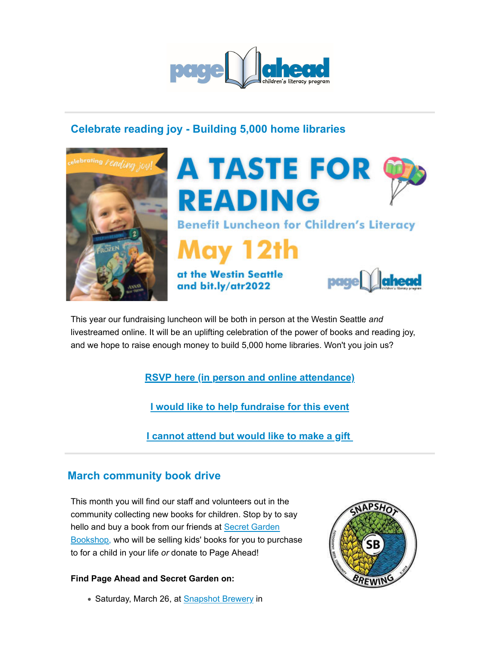

# **Celebrate reading joy - Building 5,000 home libraries**





This year our fundraising luncheon will be both in person at the Westin Seattle *and* livestreamed online. It will be an uplifting celebration of the power of books and reading joy, and we hope to raise enough money to build 5,000 home libraries. Won't you join us?

**RSVP here (in person and online attendance)**

**I would like to help fundraise for this event**

**I cannot attend but would like to make a gift** 

## **March community book drive**

This month you will find our staff and volunteers out in the community collecting new books for children. Stop by to say hello and buy a book from our friends at Secret Garden Bookshop, who will be selling kids' books for you to purchase to for a child in your life *or* donate to Page Ahead!

#### **Find Page Ahead and Secret Garden on:**

• Saturday, March 26, at Snapshot Brewery in

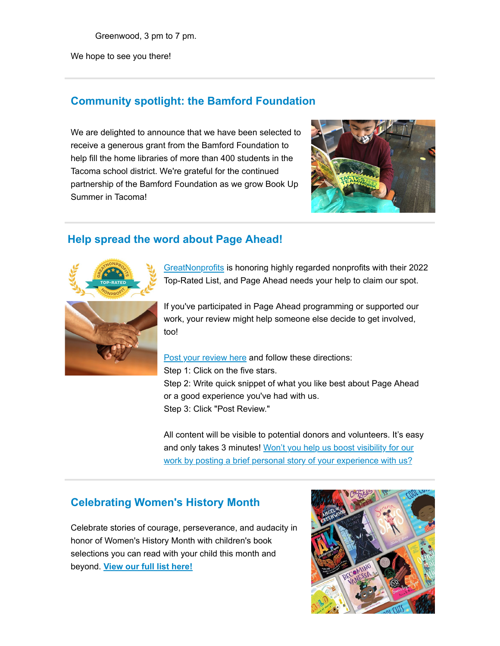Greenwood, 3 pm to 7 pm.

We hope to see you there!

## **Community spotlight: the Bamford Foundation**

We are delighted to announce that we have been selected to receive a generous grant from the Bamford Foundation to help fill the home libraries of more than 400 students in the Tacoma school district. We're grateful for the continued partnership of the Bamford Foundation as we grow Book Up Summer in Tacoma!



## **Help spread the word about Page Ahead!**



GreatNonprofits is honoring highly regarded nonprofits with their 2022 Top-Rated List, and Page Ahead needs your help to claim our spot.



If you've participated in Page Ahead programming or supported our work, your review might help someone else decide to get involved, too!

Post your review here and follow these directions: Step 1: Click on the five stars. Step 2: Write quick snippet of what you like best about Page Ahead or a good experience you've had with us. Step 3: Click "Post Review."

All content will be visible to potential donors and volunteers. It's easy and only takes 3 minutes! Won't you help us boost visibility for our work by posting a brief personal story of your experience with us?

### **Celebrating Women's History Month**

Celebrate stories of courage, perseverance, and audacity in honor of Women's History Month with children's book selections you can read with your child this month and beyond. **View our full list here!**

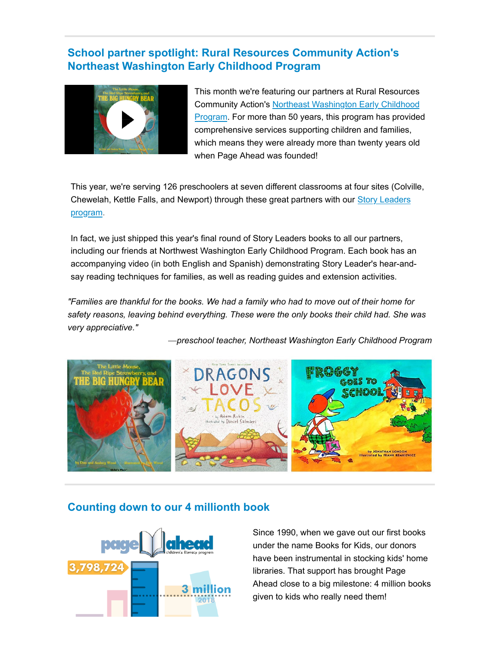## **School partner spotlight: Rural Resources Community Action's Northeast Washington Early Childhood Program**



This month we're featuring our partners at Rural Resources Community Action's Northeast Washington Early Childhood Program. For more than 50 years, this program has provided comprehensive services supporting children and families, which means they were already more than twenty years old when Page Ahead was founded!

This year, we're serving 126 preschoolers at seven different classrooms at four sites (Colville, Chewelah, Kettle Falls, and Newport) through these great partners with our Story Leaders program.

In fact, we just shipped this year's final round of Story Leaders books to all our partners, including our friends at Northwest Washington Early Childhood Program. Each book has an accompanying video (in both English and Spanish) demonstrating Story Leader's hear-andsay reading techniques for families, as well as reading guides and extension activities.

*"Families are thankful for the books. We had a family who had to move out of their home for safety reasons, leaving behind everything. These were the only books their child had. She was very appreciative."*

—*preschool teacher, Northeast Washington Early Childhood Program*



#### **Counting down to our 4 millionth book**



Since 1990, when we gave out our first books under the name Books for Kids, our donors have been instrumental in stocking kids' home libraries. That support has brought Page Ahead close to a big milestone: 4 million books given to kids who really need them!